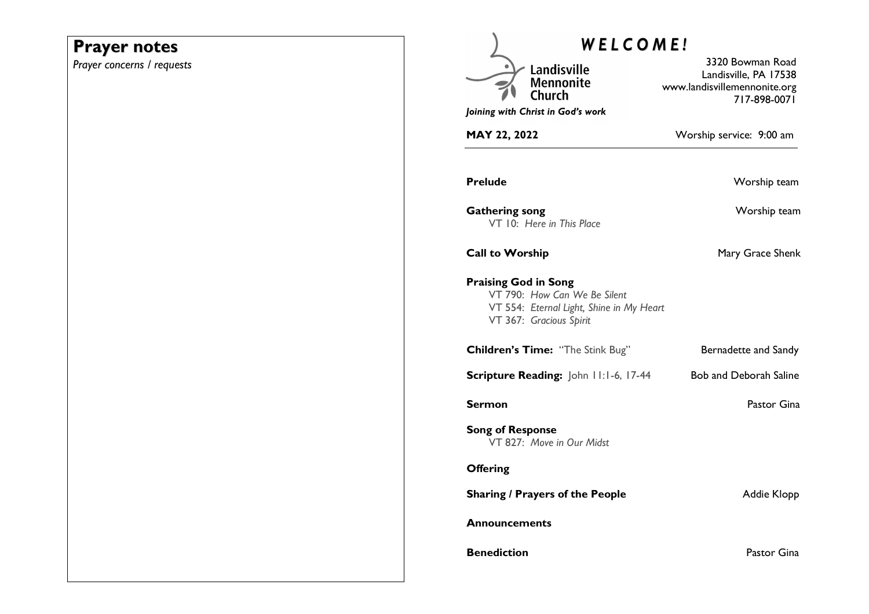# **Prayer notes**

*Prayer concerns / requests* 

| <b>WELCOME!</b>                                                                                                                    |                                                                                           |
|------------------------------------------------------------------------------------------------------------------------------------|-------------------------------------------------------------------------------------------|
| Landisville<br><b>Mennonite</b><br>Joining with Christ in God's work                                                               | 3320 Bowman Road<br>Landisville, PA 17538<br>www.landisvillemennonite.org<br>717-898-0071 |
| <b>MAY 22, 2022</b>                                                                                                                | Worship service: 9:00 am                                                                  |
| <b>Prelude</b>                                                                                                                     | Worship team                                                                              |
| <b>Gathering song</b><br>VT 10: Here in This Place                                                                                 | Worship team                                                                              |
| <b>Call to Worship</b>                                                                                                             | Mary Grace Shenk                                                                          |
| <b>Praising God in Song</b><br>VT 790: How Can We Be Silent<br>VT 554: Eternal Light, Shine in My Heart<br>VT 367: Gracious Spirit |                                                                                           |
| Children's Time: "The Stink Bug"                                                                                                   | Bernadette and Sandy                                                                      |
| Scripture Reading: John 11:1-6, 17-44                                                                                              | <b>Bob and Deborah Saline</b>                                                             |
| Sermon                                                                                                                             | Pastor Gina                                                                               |
| <b>Song of Response</b><br>VT 827: Move in Our Midst                                                                               |                                                                                           |
| <b>Offering</b>                                                                                                                    |                                                                                           |
| <b>Sharing / Prayers of the People</b>                                                                                             | Addie Klopp                                                                               |
| <b>Announcements</b>                                                                                                               |                                                                                           |
| <b>Benediction</b>                                                                                                                 | Pastor Gina                                                                               |